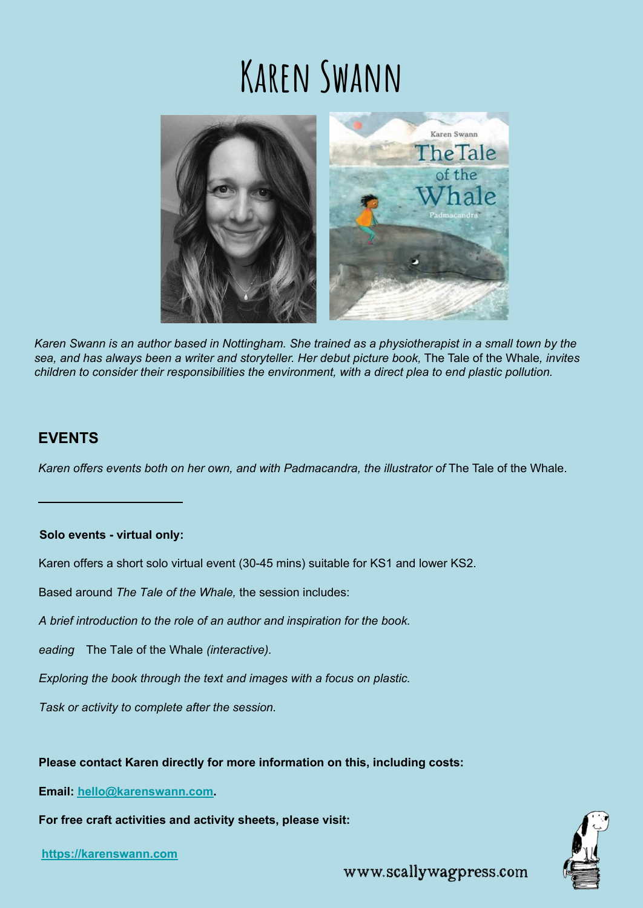# **Karen Swann**



*Karen Swann is an author based in Nottingham. She trained as a physiotherapist in a small town by the sea, and has always been a writer and storyteller. Her debut picture book,* The Tale of the Whale*, invites children to consider their responsibilities the environment, with a direct plea to end plastic pollution.* 

## **EVENTS**

Karen offers events both on her own, and with Padmacandra, the illustrator of The Tale of the Whale.

## **Solo events - virtual only:**

Karen offers a short solo virtual event (30-45 mins) suitable for KS1 and lower KS2.

Based around *The Tale of the Whale,* the session includes:

*A brief introduction to the role of an author and inspiration for the book.*

*Reading* The Tale of the Whale *(interactive).*

*Exploring the book through the text and images with a focus on plastic.*

*Task or activity to complete after the session.*

## **Please contact Karen directly for more information on this, including costs:**

**Email: [hello@karenswann.com.](mailto:hello@karenswann.com)** 

**For free craft activities and activity sheets, please visit:**

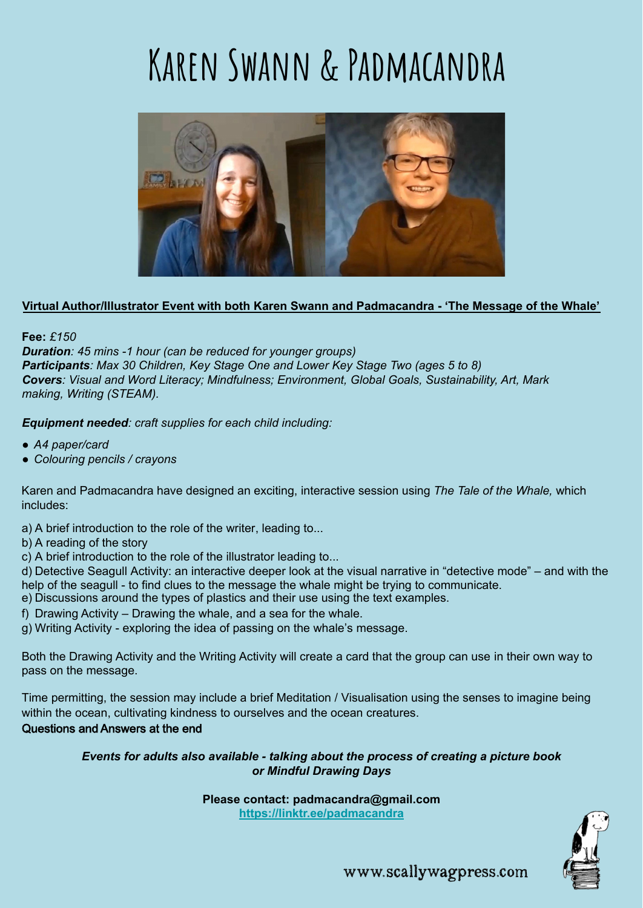# **Karen Swann & Padmacandra**



## **Virtual Author/Illustrator Event with both Karen Swann and Padmacandra - 'The Message of the Whale'**

**Fee:** *£150*

*Duration: 45 mins -1 hour (can be reduced for younger groups) Participants: Max 30 Children, Key Stage One and Lower Key Stage Two (ages 5 to 8) Covers: Visual and Word Literacy; Mindfulness; Environment, Global Goals, Sustainability, Art, Mark making, Writing (STEAM).*

*Equipment needed: craft supplies for each child including:*

- *A4 paper/card*
- *● Colouring pencils / crayons*

Karen and Padmacandra have designed an exciting, interactive session using *The Tale of the Whale,* which includes:

- a) A brief introduction to the role of the writer, leading to...
- b) A reading of the story
- c) A brief introduction to the role of the illustrator leading to...

d) Detective Seagull Activity: an interactive deeper look at the visual narrative in "detective mode" – and with the help of the seagull - to find clues to the message the whale might be trying to communicate.

- e) Discussions around the types of plastics and their use using the text examples.
- f) Drawing Activity Drawing the whale, and a sea for the whale.
- g) Writing Activity exploring the idea of passing on the whale's message.

Both the Drawing Activity and the Writing Activity will create a card that the group can use in their own way to pass on the message.

Time permitting, the session may include a brief Meditation / Visualisation using the senses to imagine being within the ocean, cultivating kindness to ourselves and the ocean creatures.

## Questions and Answers at the end

## *Events for adults also available - talking about the process of creating a picture book or Mindful Drawing Days*

**Please contact: padmacandra@gmail.com**

**<https://linktr.ee/padmacandra>**